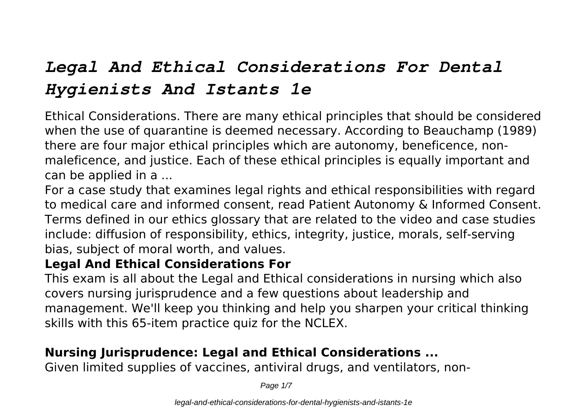# *Legal And Ethical Considerations For Dental Hygienists And Istants 1e*

Ethical Considerations. There are many ethical principles that should be considered when the use of quarantine is deemed necessary. According to Beauchamp (1989) there are four major ethical principles which are autonomy, beneficence, nonmaleficence, and justice. Each of these ethical principles is equally important and can be applied in a ...

For a case study that examines legal rights and ethical responsibilities with regard to medical care and informed consent, read Patient Autonomy & Informed Consent. Terms defined in our ethics glossary that are related to the video and case studies include: diffusion of responsibility, ethics, integrity, justice, morals, self-serving bias, subject of moral worth, and values.

#### **Legal And Ethical Considerations For**

This exam is all about the Legal and Ethical considerations in nursing which also covers nursing jurisprudence and a few questions about leadership and management. We'll keep you thinking and help you sharpen your critical thinking skills with this 65-item practice quiz for the NCLEX.

## **Nursing Jurisprudence: Legal and Ethical Considerations ...**

Given limited supplies of vaccines, antiviral drugs, and ventilators, non-

Page  $1/7$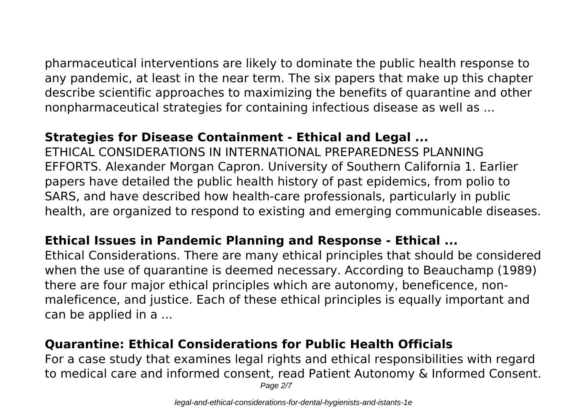pharmaceutical interventions are likely to dominate the public health response to any pandemic, at least in the near term. The six papers that make up this chapter describe scientific approaches to maximizing the benefits of quarantine and other nonpharmaceutical strategies for containing infectious disease as well as ...

#### **Strategies for Disease Containment - Ethical and Legal ...**

ETHICAL CONSIDERATIONS IN INTERNATIONAL PREPAREDNESS PLANNING EFFORTS. Alexander Morgan Capron. University of Southern California 1. Earlier papers have detailed the public health history of past epidemics, from polio to SARS, and have described how health-care professionals, particularly in public health, are organized to respond to existing and emerging communicable diseases.

#### **Ethical Issues in Pandemic Planning and Response - Ethical ...**

Ethical Considerations. There are many ethical principles that should be considered when the use of quarantine is deemed necessary. According to Beauchamp (1989) there are four major ethical principles which are autonomy, beneficence, nonmaleficence, and justice. Each of these ethical principles is equally important and can be applied in a ...

### **Quarantine: Ethical Considerations for Public Health Officials**

For a case study that examines legal rights and ethical responsibilities with regard to medical care and informed consent, read Patient Autonomy & Informed Consent. Page 2/7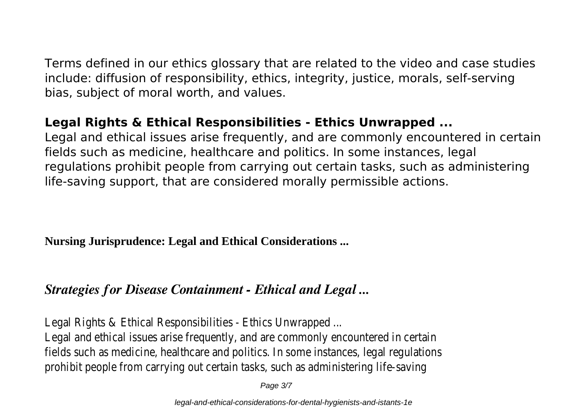Terms defined in our ethics glossary that are related to the video and case studies include: diffusion of responsibility, ethics, integrity, justice, morals, self-serving bias, subject of moral worth, and values.

## **Legal Rights & Ethical Responsibilities - Ethics Unwrapped ...**

Legal and ethical issues arise frequently, and are commonly encountered in certain fields such as medicine, healthcare and politics. In some instances, legal regulations prohibit people from carrying out certain tasks, such as administering life-saving support, that are considered morally permissible actions.

**Nursing Jurisprudence: Legal and Ethical Considerations ...**

## *Strategies for Disease Containment - Ethical and Legal ...*

Legal Rights & Ethical Responsibilities - Ethics Unwrapped ...

Legal and ethical issues arise frequently, and are commonly encountered in certain fields such as medicine, healthcare and politics. In some instances, legal regulations prohibit people from carrying out certain tasks, such as administering life-saving

Page 3/7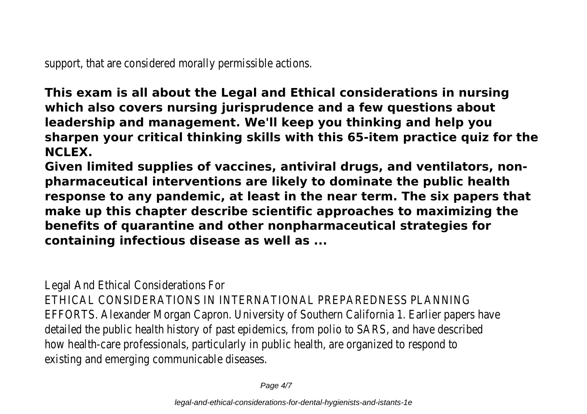support, that are considered morally permissible actions.

**This exam is all about the Legal and Ethical considerations in nursing which also covers nursing jurisprudence and a few questions about leadership and management. We'll keep you thinking and help you sharpen your critical thinking skills with this 65-item practice quiz for the NCLEX.**

**Given limited supplies of vaccines, antiviral drugs, and ventilators, nonpharmaceutical interventions are likely to dominate the public health response to any pandemic, at least in the near term. The six papers that make up this chapter describe scientific approaches to maximizing the benefits of quarantine and other nonpharmaceutical strategies for containing infectious disease as well as ...**

Legal And Ethical Considerations For

ETHICAL CONSIDERATIONS IN INTERNATIONAL PREPAREDNESS PLANNING EFFORTS. Alexander Morgan Capron. University of Southern California 1. Earlier papers have detailed the public health history of past epidemics, from polio to SARS, and have described how health-care professionals, particularly in public health, are organized to respond to existing and emerging communicable diseases.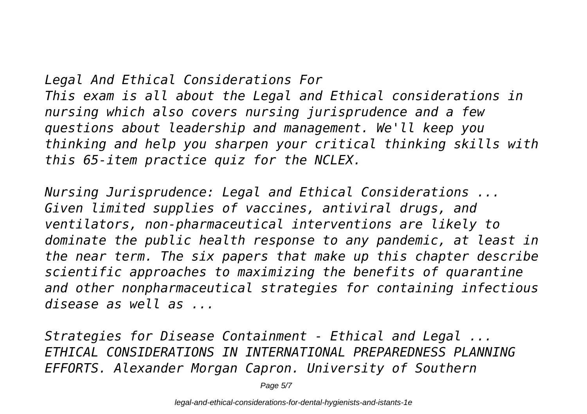# *Legal And Ethical Considerations For This exam is all about the Legal and Ethical considerations in nursing which also covers nursing jurisprudence and a few questions about leadership and management. We'll keep you thinking and help you sharpen your critical thinking skills with this 65-item practice quiz for the NCLEX.*

*Nursing Jurisprudence: Legal and Ethical Considerations ... Given limited supplies of vaccines, antiviral drugs, and ventilators, non-pharmaceutical interventions are likely to dominate the public health response to any pandemic, at least in the near term. The six papers that make up this chapter describe scientific approaches to maximizing the benefits of quarantine and other nonpharmaceutical strategies for containing infectious disease as well as ...*

*Strategies for Disease Containment - Ethical and Legal ... ETHICAL CONSIDERATIONS IN INTERNATIONAL PREPAREDNESS PLANNING EFFORTS. Alexander Morgan Capron. University of Southern*

Page 5/7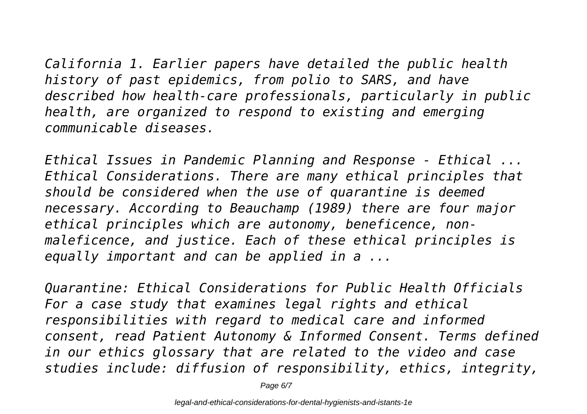*California 1. Earlier papers have detailed the public health history of past epidemics, from polio to SARS, and have described how health-care professionals, particularly in public health, are organized to respond to existing and emerging communicable diseases.*

*Ethical Issues in Pandemic Planning and Response - Ethical ... Ethical Considerations. There are many ethical principles that should be considered when the use of quarantine is deemed necessary. According to Beauchamp (1989) there are four major ethical principles which are autonomy, beneficence, nonmaleficence, and justice. Each of these ethical principles is equally important and can be applied in a ...*

*Quarantine: Ethical Considerations for Public Health Officials For a case study that examines legal rights and ethical responsibilities with regard to medical care and informed consent, read Patient Autonomy & Informed Consent. Terms defined in our ethics glossary that are related to the video and case studies include: diffusion of responsibility, ethics, integrity,*

Page 6/7